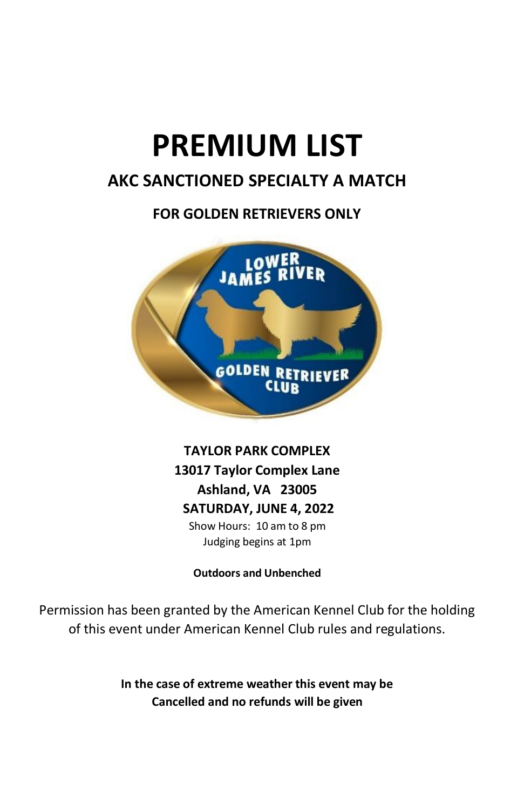# **PREMIUM LIST**

# **AKC SANCTIONED SPECIALTY A MATCH**

# **FOR GOLDEN RETRIEVERS ONLY**



**TAYLOR PARK COMPLEX 13017 Taylor Complex Lane Ashland, VA 23005 SATURDAY, JUNE 4, 2022** Show Hours: 10 am to 8 pm Judging begins at 1pm

**Outdoors and Unbenched**

Permission has been granted by the American Kennel Club for the holding of this event under American Kennel Club rules and regulations.

> **In the case of extreme weather this event may be Cancelled and no refunds will be given**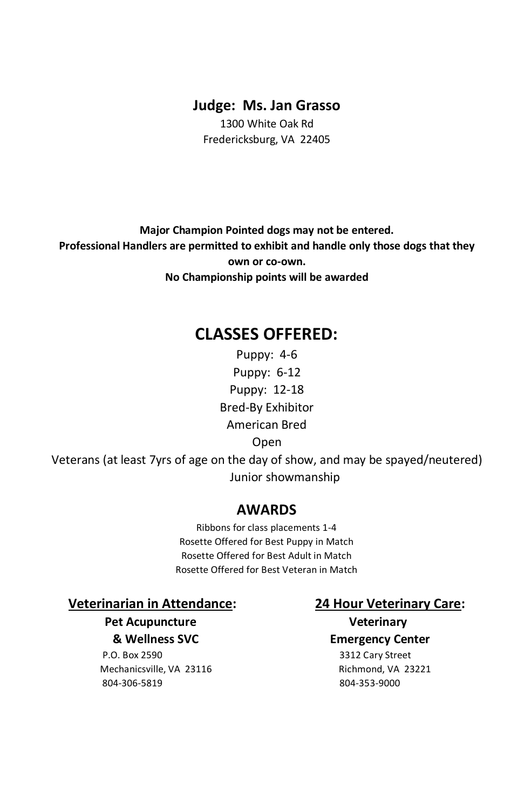#### **Judge: Ms. Jan Grasso**

1300 White Oak Rd Fredericksburg, VA 22405

**Major Champion Pointed dogs may not be entered. Professional Handlers are permitted to exhibit and handle only those dogs that they own or co-own. No Championship points will be awarded**

# **CLASSES OFFERED:**

Puppy: 4-6 Puppy: 6-12 Puppy: 12-18 Bred-By Exhibitor American Bred Open Veterans (at least 7yrs of age on the day of show, and may be spayed/neutered) Junior showmanship

### **AWARDS**

Ribbons for class placements 1-4 Rosette Offered for Best Puppy in Match Rosette Offered for Best Adult in Match Rosette Offered for Best Veteran in Match

**Veterinarian in Attendance: 24 Hour Veterinary Care:**

**Pet Acupuncture Veterinary** 

P.O. Box 2590 3312 Cary Street Mechanicsville, VA 23116 Richmond, VA 23221 804-306-5819 804-353-9000

 **& Wellness SVC Emergency Center**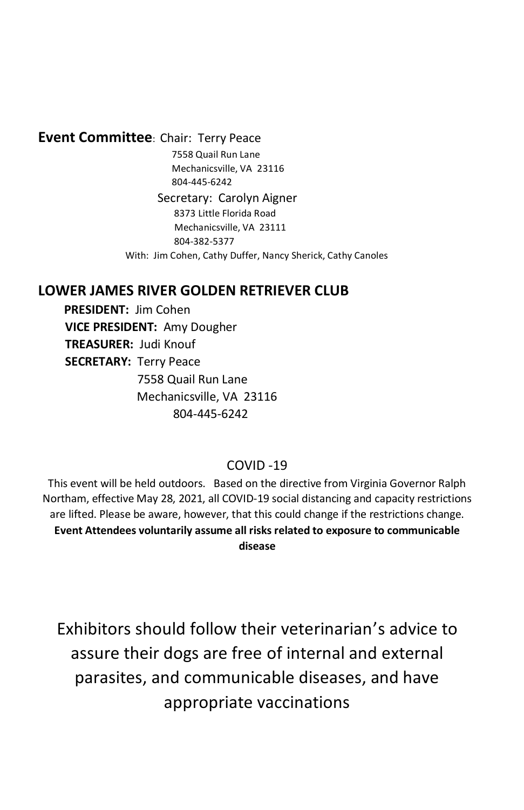#### **Event Committee**: Chair: Terry Peace

 7558 Quail Run Lane Mechanicsville, VA 23116 804-445-6242

 Secretary: Carolyn Aigner 8373 Little Florida Road Mechanicsville, VA 23111 804-382-5377 With: Jim Cohen, Cathy Duffer, Nancy Sherick, Cathy Canoles

## **LOWER JAMES RIVER GOLDEN RETRIEVER CLUB**

 **PRESIDENT:** Jim Cohen  **VICE PRESIDENT:** Amy Dougher  **TREASURER:** Judi Knouf  **SECRETARY:** Terry Peace 7558 Quail Run Lane Mechanicsville, VA 23116 804-445-6242

#### COVID -19

This event will be held outdoors. Based on the directive from Virginia Governor Ralph Northam, effective May 28, 2021, all COVID-19 social distancing and capacity restrictions are lifted. Please be aware, however, that this could change if the restrictions change. **Event Attendees voluntarily assume all risks related to exposure to communicable disease**

Exhibitors should follow their veterinarian's advice to assure their dogs are free of internal and external parasites, and communicable diseases, and have appropriate vaccinations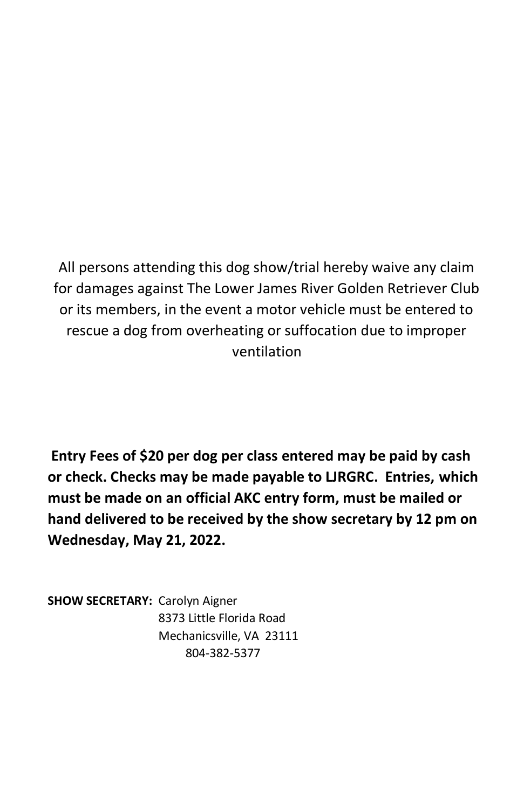All persons attending this dog show/trial hereby waive any claim for damages against The Lower James River Golden Retriever Club or its members, in the event a motor vehicle must be entered to rescue a dog from overheating or suffocation due to improper ventilation

**Entry Fees of \$20 per dog per class entered may be paid by cash or check. Checks may be made payable to LJRGRC. Entries, which must be made on an official AKC entry form, must be mailed or hand delivered to be received by the show secretary by 12 pm on Wednesday, May 21, 2022.** 

**SHOW SECRETARY:** Carolyn Aigner 8373 Little Florida Road Mechanicsville, VA 23111 804-382-5377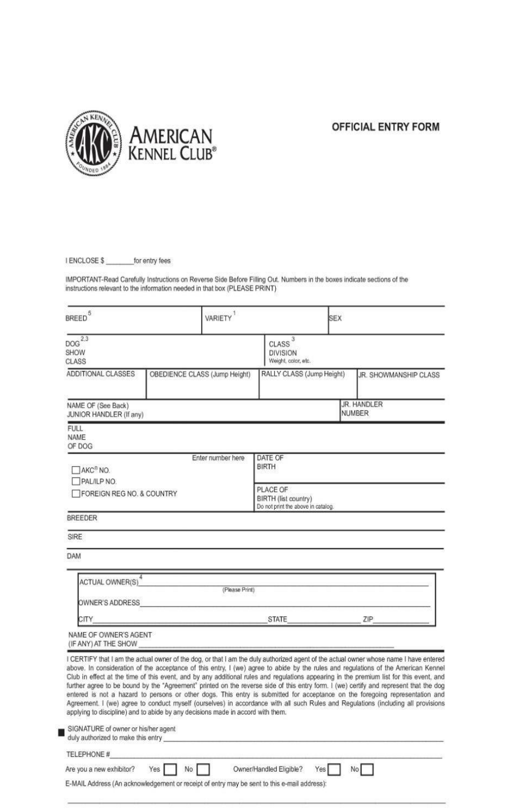

#### **OFFICIAL ENTRY FORM**

I ENCLOSE \$ \_\_\_\_\_\_\_\_ for entry fees

IMPORTANT-Read Carefully Instructions on Reverse Side Before Filling Out. Numbers in the boxes indicate sections of the instructions relevant to the information needed in that box (PLEASE PRINT)

| BREED <sup>5</sup>                                                        | VARIETY <sup>1</sup>                                                                                                                                                                                                                                                                                                                                                                                                                                                                                                                                                                                                                                                                                                                                                                                                                                                                                                     |                                       | <b>SEX</b>                                                             |                              |  |
|---------------------------------------------------------------------------|--------------------------------------------------------------------------------------------------------------------------------------------------------------------------------------------------------------------------------------------------------------------------------------------------------------------------------------------------------------------------------------------------------------------------------------------------------------------------------------------------------------------------------------------------------------------------------------------------------------------------------------------------------------------------------------------------------------------------------------------------------------------------------------------------------------------------------------------------------------------------------------------------------------------------|---------------------------------------|------------------------------------------------------------------------|------------------------------|--|
| $DOG^{\overline{2,3}}$<br>SHOW<br>CLASS                                   |                                                                                                                                                                                                                                                                                                                                                                                                                                                                                                                                                                                                                                                                                                                                                                                                                                                                                                                          | CLASS <sup>3</sup><br><b>DIVISION</b> | Weight, color, etc.                                                    |                              |  |
| <b>ADDITIONAL CLASSES</b>                                                 | OBEDIENCE CLASS (Jump Height)                                                                                                                                                                                                                                                                                                                                                                                                                                                                                                                                                                                                                                                                                                                                                                                                                                                                                            |                                       | RALLY CLASS (Jump Height)                                              | JR. SHOWMANSHIP CLASS        |  |
| NAME OF (See Back)<br><b>JUNIOR HANDLER (If any)</b>                      |                                                                                                                                                                                                                                                                                                                                                                                                                                                                                                                                                                                                                                                                                                                                                                                                                                                                                                                          |                                       |                                                                        | JR. HANDLER<br><b>NUMBER</b> |  |
| FULL.<br>NAME<br>OF DOG                                                   |                                                                                                                                                                                                                                                                                                                                                                                                                                                                                                                                                                                                                                                                                                                                                                                                                                                                                                                          |                                       |                                                                        |                              |  |
| AKC <sup>®</sup> NO.<br>PALILP NO.                                        | Enter number here                                                                                                                                                                                                                                                                                                                                                                                                                                                                                                                                                                                                                                                                                                                                                                                                                                                                                                        | DATE OF<br><b>BIRTH</b>               |                                                                        |                              |  |
| <b>FOREIGN REG NO. &amp; COUNTRY</b>                                      |                                                                                                                                                                                                                                                                                                                                                                                                                                                                                                                                                                                                                                                                                                                                                                                                                                                                                                                          |                                       | PLACE OF<br>BIRTH (list country)<br>Do not print the above in catalog. |                              |  |
| <b>BREEDER</b>                                                            |                                                                                                                                                                                                                                                                                                                                                                                                                                                                                                                                                                                                                                                                                                                                                                                                                                                                                                                          |                                       |                                                                        |                              |  |
| SIRE                                                                      |                                                                                                                                                                                                                                                                                                                                                                                                                                                                                                                                                                                                                                                                                                                                                                                                                                                                                                                          |                                       |                                                                        |                              |  |
| <b>DAM</b>                                                                |                                                                                                                                                                                                                                                                                                                                                                                                                                                                                                                                                                                                                                                                                                                                                                                                                                                                                                                          |                                       |                                                                        |                              |  |
| <b>ACTUAL OWNER(S)</b>                                                    |                                                                                                                                                                                                                                                                                                                                                                                                                                                                                                                                                                                                                                                                                                                                                                                                                                                                                                                          | (Please Print)                        |                                                                        |                              |  |
| OWNER'S ADDRESS                                                           |                                                                                                                                                                                                                                                                                                                                                                                                                                                                                                                                                                                                                                                                                                                                                                                                                                                                                                                          |                                       |                                                                        |                              |  |
| <b>CITY</b>                                                               |                                                                                                                                                                                                                                                                                                                                                                                                                                                                                                                                                                                                                                                                                                                                                                                                                                                                                                                          | <b>STATE</b>                          |                                                                        | ZIP                          |  |
| NAME OF OWNER'S AGENT<br>(IF ANY) AT THE SHOW                             |                                                                                                                                                                                                                                                                                                                                                                                                                                                                                                                                                                                                                                                                                                                                                                                                                                                                                                                          |                                       |                                                                        |                              |  |
|                                                                           | I CERTIFY that I am the actual owner of the dog, or that I am the duly authorized agent of the actual owner whose name I have entered<br>above. In consideration of the acceptance of this entry, I (we) agree to abide by the rules and regulations of the American Kennel<br>Club in effect at the time of this event, and by any additional rules and regulations appearing in the premium list for this event, and<br>further agree to be bound by the "Agreement" printed on the reverse side of this entry form. I (we) certify and represent that the dog<br>entered is not a hazard to persons or other dogs. This entry is submitted for acceptance on the foregoing representation and<br>Agreement. I (we) agree to conduct myself (ourselves) in accordance with all such Rules and Regulations (including all provisions<br>applying to discipline) and to abide by any decisions made in accord with them. |                                       |                                                                        |                              |  |
| SIGNATURE of owner or his/her agent<br>duly authorized to make this entry |                                                                                                                                                                                                                                                                                                                                                                                                                                                                                                                                                                                                                                                                                                                                                                                                                                                                                                                          |                                       |                                                                        |                              |  |
| TELEPHONE #                                                               |                                                                                                                                                                                                                                                                                                                                                                                                                                                                                                                                                                                                                                                                                                                                                                                                                                                                                                                          |                                       |                                                                        |                              |  |
| Are you a new exhibitor?                                                  | Yes<br>No                                                                                                                                                                                                                                                                                                                                                                                                                                                                                                                                                                                                                                                                                                                                                                                                                                                                                                                | Owner/Handled Eligible?               | Yes                                                                    | No.                          |  |
|                                                                           | E-MAIL Address (An acknowledgement or receipt of entry may be sent to this e-mail address):                                                                                                                                                                                                                                                                                                                                                                                                                                                                                                                                                                                                                                                                                                                                                                                                                              |                                       |                                                                        |                              |  |